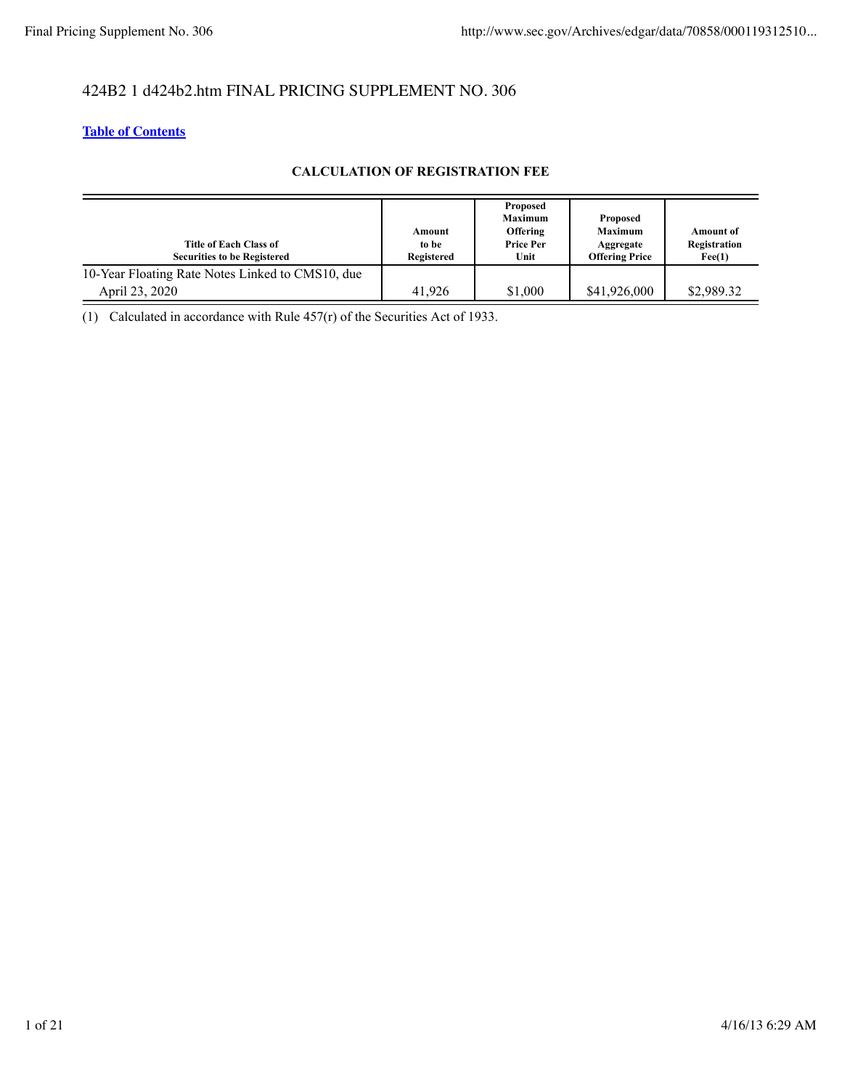# 424B2 1 d424b2.htm FINAL PRICING SUPPLEMENT NO. 306

# **Table of Contents**

### **CALCULATION OF REGISTRATION FEE**

| Title of Each Class of<br><b>Securities to be Registered</b> | Amount<br>to be<br>Registered | Proposed<br><b>Maximum</b><br><b>Offering</b><br><b>Price Per</b><br>Unit | Proposed<br><b>Maximum</b><br>Aggregate<br><b>Offering Price</b> | <b>Amount of</b><br>Registration<br>$\text{Fe}(1)$ |
|--------------------------------------------------------------|-------------------------------|---------------------------------------------------------------------------|------------------------------------------------------------------|----------------------------------------------------|
| 10-Year Floating Rate Notes Linked to CMS10, due             |                               |                                                                           |                                                                  |                                                    |
| April 23, 2020                                               | 41.926                        | \$1,000                                                                   | \$41,926,000                                                     | \$2,989.32                                         |

(1) Calculated in accordance with Rule 457(r) of the Securities Act of 1933.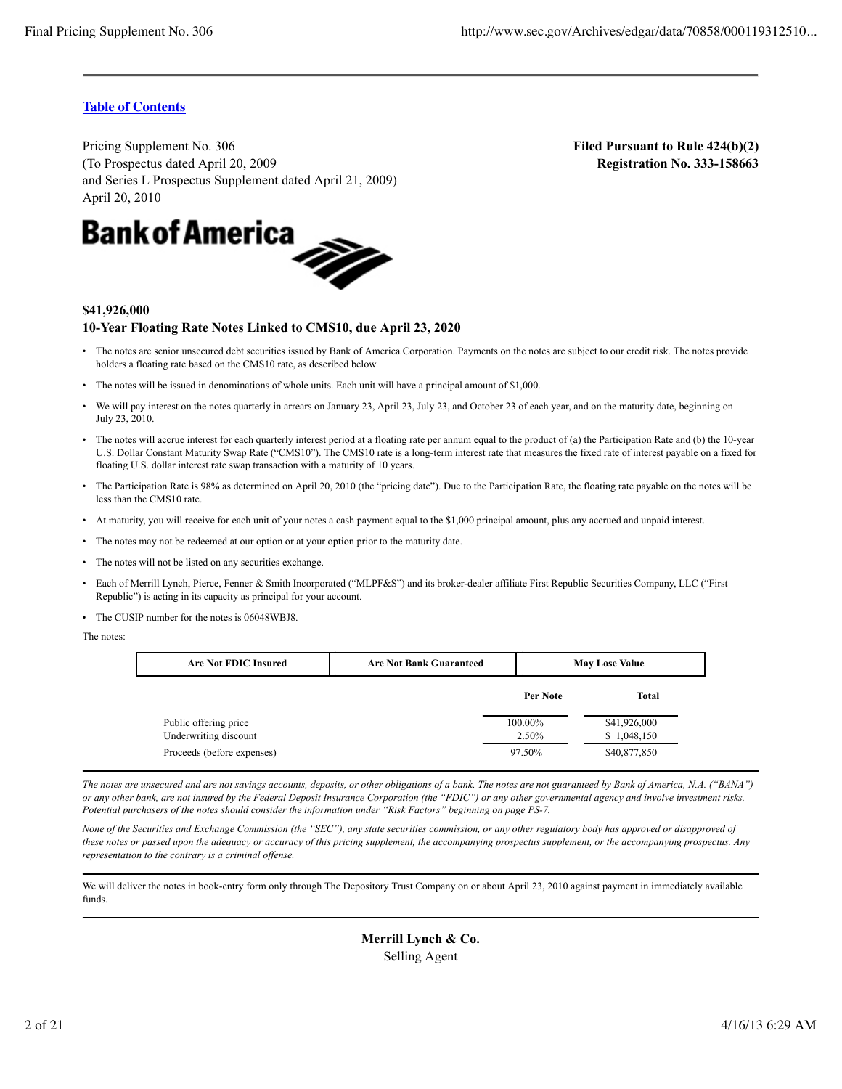**Filed Pursuant to Rule 424(b)(2) Registration No. 333-158663**

### **Table of Contents**

Pricing Supplement No. 306 (To Prospectus dated April 20, 2009 and Series L Prospectus Supplement dated April 21, 2009)



#### **\$41,926,000**

#### **10-Year Floating Rate Notes Linked to CMS10, due April 23, 2020**

- The notes are senior unsecured debt securities issued by Bank of America Corporation. Payments on the notes are subject to our credit risk. The notes provide holders a floating rate based on the CMS10 rate, as described below.
- The notes will be issued in denominations of whole units. Each unit will have a principal amount of \$1,000.
- We will pay interest on the notes quarterly in arrears on January 23, April 23, July 23, and October 23 of each year, and on the maturity date, beginning on July 23, 2010.
- The notes will accrue interest for each quarterly interest period at a floating rate per annum equal to the product of (a) the Participation Rate and (b) the 10-year U.S. Dollar Constant Maturity Swap Rate ("CMS10"). The CMS10 rate is a long-term interest rate that measures the fixed rate of interest payable on a fixed for floating U.S. dollar interest rate swap transaction with a maturity of 10 years.
- The Participation Rate is 98% as determined on April 20, 2010 (the "pricing date"). Due to the Participation Rate, the floating rate payable on the notes will be less than the CMS10 rate.
- At maturity, you will receive for each unit of your notes a cash payment equal to the \$1,000 principal amount, plus any accrued and unpaid interest.
- The notes may not be redeemed at our option or at your option prior to the maturity date.
- The notes will not be listed on any securities exchange.
- Each of Merrill Lynch, Pierce, Fenner & Smith Incorporated ("MLPF&S") and its broker-dealer affiliate First Republic Securities Company, LLC ("First Republic") is acting in its capacity as principal for your account.
- The CUSIP number for the notes is 06048WBJ8.

The notes:

| <b>Are Not FDIC Insured</b>                         | <b>Are Not Bank Guaranteed</b> |                 | <b>May Lose Value</b>       |  |  |
|-----------------------------------------------------|--------------------------------|-----------------|-----------------------------|--|--|
|                                                     |                                | Per Note        | <b>Total</b>                |  |  |
| Public offering price                               |                                | 100.00%         | \$41,926,000                |  |  |
| Underwriting discount<br>Proceeds (before expenses) |                                | 2.50%<br>97.50% | \$1,048,150<br>\$40,877,850 |  |  |

*The notes are unsecured and are not savings accounts, deposits, or other obligations of a bank. The notes are not guaranteed by Bank of America, N.A. ("BANA") or any other bank, are not insured by the Federal Deposit Insurance Corporation (the "FDIC") or any other governmental agency and involve investment risks. Potential purchasers of the notes should consider the information under "Risk Factors" beginning on page PS-7.*

*None of the Securities and Exchange Commission (the "SEC"), any state securities commission, or any other regulatory body has approved or disapproved of these notes or passed upon the adequacy or accuracy of this pricing supplement, the accompanying prospectus supplement, or the accompanying prospectus. Any representation to the contrary is a criminal offense.*

We will deliver the notes in book-entry form only through The Depository Trust Company on or about April 23, 2010 against payment in immediately available funds.

> **Merrill Lynch & Co.** Selling Agent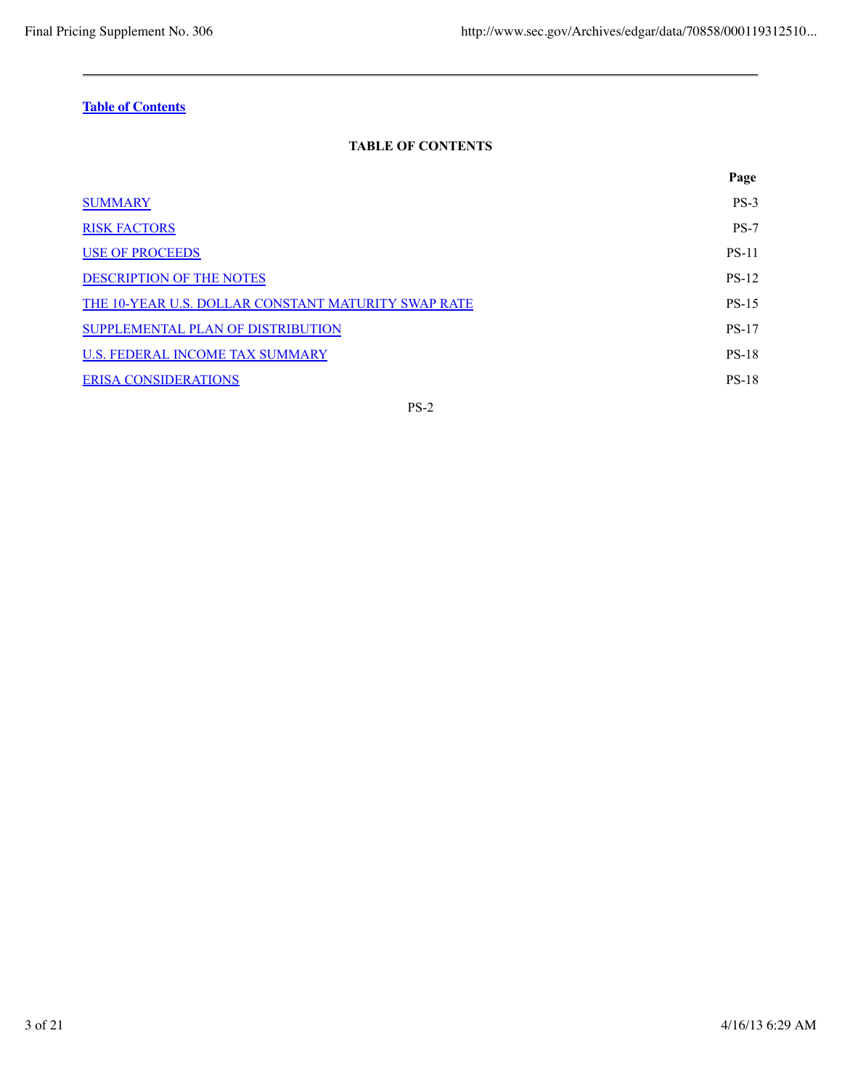# **TABLE OF CONTENTS**

|                                                     | Page         |
|-----------------------------------------------------|--------------|
| <b>SUMMARY</b>                                      | $PS-3$       |
| <b>RISK FACTORS</b>                                 | $PS-7$       |
| <b>USE OF PROCEEDS</b>                              | <b>PS-11</b> |
| <b>DESCRIPTION OF THE NOTES</b>                     | <b>PS-12</b> |
| THE 10-YEAR U.S. DOLLAR CONSTANT MATURITY SWAP RATE | <b>PS-15</b> |
| SUPPLEMENTAL PLAN OF DISTRIBUTION                   | <b>PS-17</b> |
| U.S. FEDERAL INCOME TAX SUMMARY                     | <b>PS-18</b> |
| <b>ERISA CONSIDERATIONS</b>                         | <b>PS-18</b> |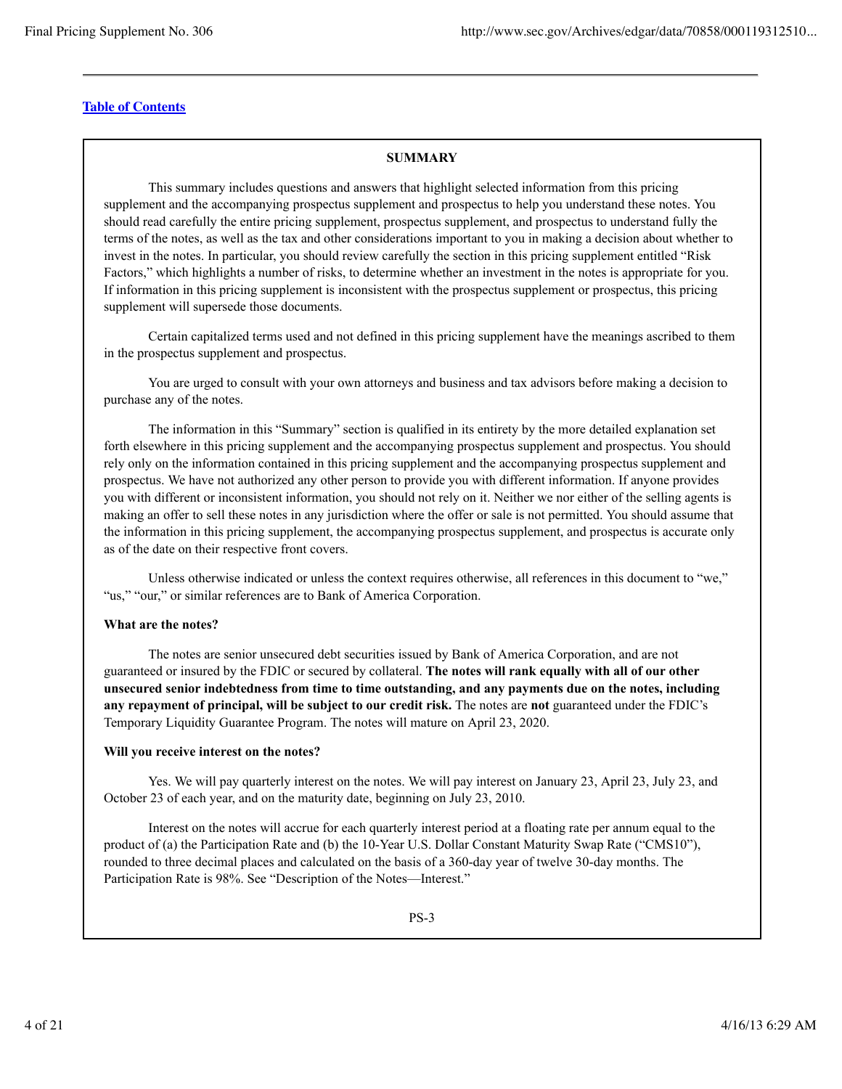### **SUMMARY**

This summary includes questions and answers that highlight selected information from this pricing supplement and the accompanying prospectus supplement and prospectus to help you understand these notes. You should read carefully the entire pricing supplement, prospectus supplement, and prospectus to understand fully the terms of the notes, as well as the tax and other considerations important to you in making a decision about whether to invest in the notes. In particular, you should review carefully the section in this pricing supplement entitled "Risk Factors," which highlights a number of risks, to determine whether an investment in the notes is appropriate for you. If information in this pricing supplement is inconsistent with the prospectus supplement or prospectus, this pricing supplement will supersede those documents.

Certain capitalized terms used and not defined in this pricing supplement have the meanings ascribed to them in the prospectus supplement and prospectus.

You are urged to consult with your own attorneys and business and tax advisors before making a decision to purchase any of the notes.

The information in this "Summary" section is qualified in its entirety by the more detailed explanation set forth elsewhere in this pricing supplement and the accompanying prospectus supplement and prospectus. You should rely only on the information contained in this pricing supplement and the accompanying prospectus supplement and prospectus. We have not authorized any other person to provide you with different information. If anyone provides you with different or inconsistent information, you should not rely on it. Neither we nor either of the selling agents is making an offer to sell these notes in any jurisdiction where the offer or sale is not permitted. You should assume that the information in this pricing supplement, the accompanying prospectus supplement, and prospectus is accurate only as of the date on their respective front covers.

Unless otherwise indicated or unless the context requires otherwise, all references in this document to "we," "us," "our," or similar references are to Bank of America Corporation.

#### **What are the notes?**

The notes are senior unsecured debt securities issued by Bank of America Corporation, and are not guaranteed or insured by the FDIC or secured by collateral. **The notes will rank equally with all of our other unsecured senior indebtedness from time to time outstanding, and any payments due on the notes, including any repayment of principal, will be subject to our credit risk.** The notes are **not** guaranteed under the FDIC's Temporary Liquidity Guarantee Program. The notes will mature on April 23, 2020.

#### **Will you receive interest on the notes?**

Yes. We will pay quarterly interest on the notes. We will pay interest on January 23, April 23, July 23, and October 23 of each year, and on the maturity date, beginning on July 23, 2010.

Interest on the notes will accrue for each quarterly interest period at a floating rate per annum equal to the product of (a) the Participation Rate and (b) the 10-Year U.S. Dollar Constant Maturity Swap Rate ("CMS10"), rounded to three decimal places and calculated on the basis of a 360-day year of twelve 30-day months. The Participation Rate is 98%. See "Description of the Notes—Interest."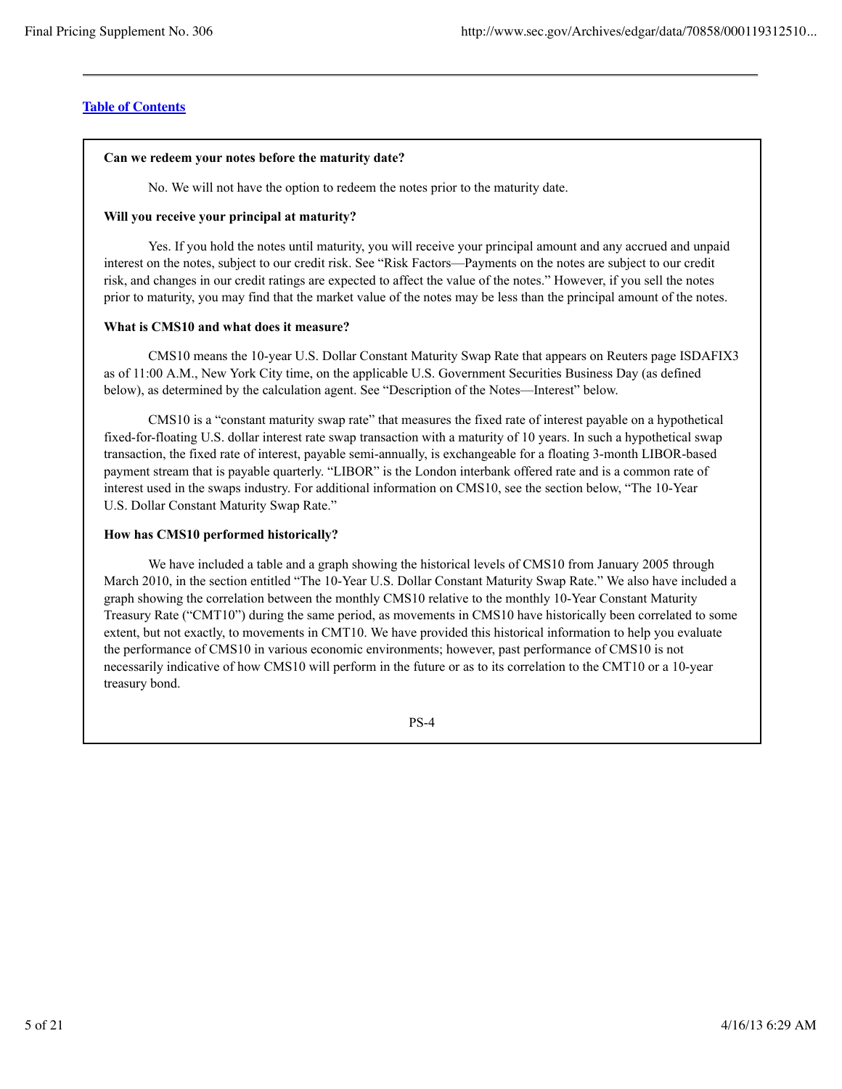#### **Can we redeem your notes before the maturity date?**

No. We will not have the option to redeem the notes prior to the maturity date.

#### **Will you receive your principal at maturity?**

Yes. If you hold the notes until maturity, you will receive your principal amount and any accrued and unpaid interest on the notes, subject to our credit risk. See "Risk Factors—Payments on the notes are subject to our credit risk, and changes in our credit ratings are expected to affect the value of the notes." However, if you sell the notes prior to maturity, you may find that the market value of the notes may be less than the principal amount of the notes.

#### **What is CMS10 and what does it measure?**

CMS10 means the 10-year U.S. Dollar Constant Maturity Swap Rate that appears on Reuters page ISDAFIX3 as of 11:00 A.M., New York City time, on the applicable U.S. Government Securities Business Day (as defined below), as determined by the calculation agent. See "Description of the Notes—Interest" below.

CMS10 is a "constant maturity swap rate" that measures the fixed rate of interest payable on a hypothetical fixed-for-floating U.S. dollar interest rate swap transaction with a maturity of 10 years. In such a hypothetical swap transaction, the fixed rate of interest, payable semi-annually, is exchangeable for a floating 3-month LIBOR-based payment stream that is payable quarterly. "LIBOR" is the London interbank offered rate and is a common rate of interest used in the swaps industry. For additional information on CMS10, see the section below, "The 10-Year U.S. Dollar Constant Maturity Swap Rate."

#### **How has CMS10 performed historically?**

We have included a table and a graph showing the historical levels of CMS10 from January 2005 through March 2010, in the section entitled "The 10-Year U.S. Dollar Constant Maturity Swap Rate." We also have included a graph showing the correlation between the monthly CMS10 relative to the monthly 10-Year Constant Maturity Treasury Rate ("CMT10") during the same period, as movements in CMS10 have historically been correlated to some extent, but not exactly, to movements in CMT10. We have provided this historical information to help you evaluate the performance of CMS10 in various economic environments; however, past performance of CMS10 is not necessarily indicative of how CMS10 will perform in the future or as to its correlation to the CMT10 or a 10-year treasury bond.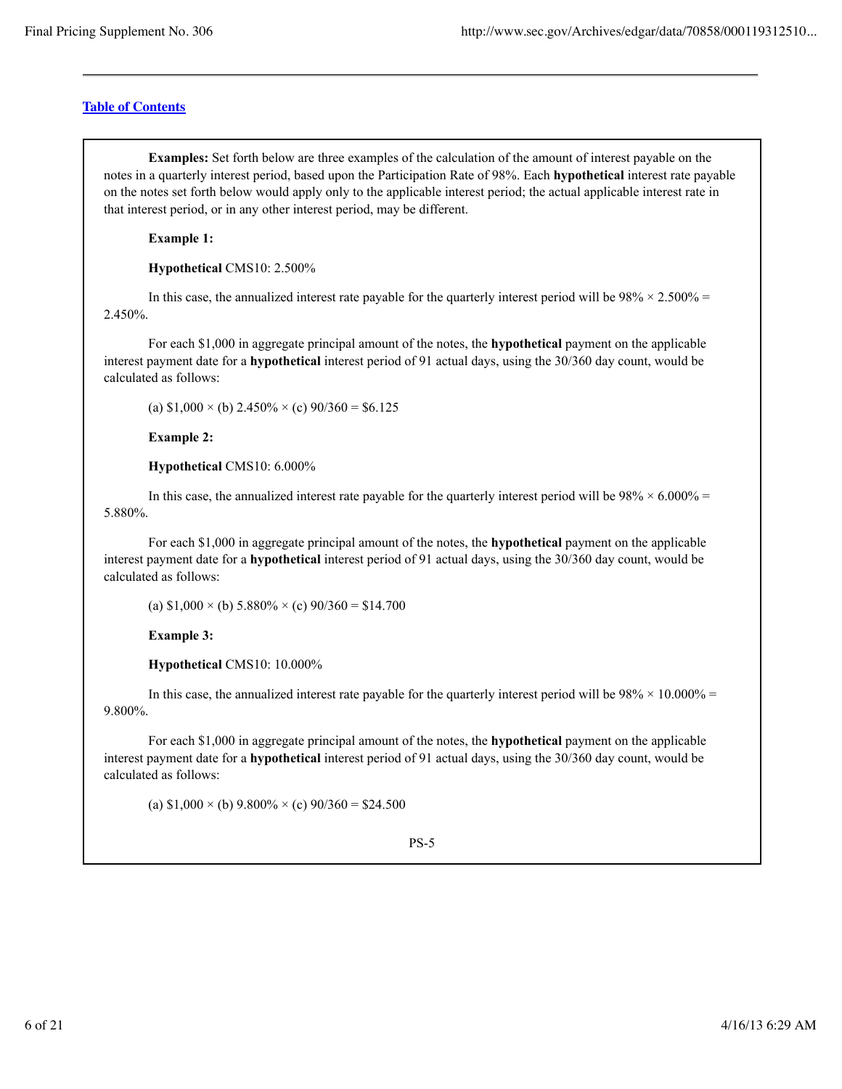**Examples:** Set forth below are three examples of the calculation of the amount of interest payable on the notes in a quarterly interest period, based upon the Participation Rate of 98%. Each **hypothetical** interest rate payable on the notes set forth below would apply only to the applicable interest period; the actual applicable interest rate in that interest period, or in any other interest period, may be different.

**Example 1:**

**Hypothetical** CMS10: 2.500%

In this case, the annualized interest rate payable for the quarterly interest period will be  $98\% \times 2.500\% =$ 2.450%.

For each \$1,000 in aggregate principal amount of the notes, the **hypothetical** payment on the applicable interest payment date for a **hypothetical** interest period of 91 actual days, using the 30/360 day count, would be calculated as follows:

(a)  $$1,000 \times$  (b)  $2.450\% \times$  (c)  $90/360 = $6.125$ 

**Example 2:**

**Hypothetical** CMS10: 6.000%

In this case, the annualized interest rate payable for the quarterly interest period will be  $98\% \times 6.000\% =$ 5.880%.

For each \$1,000 in aggregate principal amount of the notes, the **hypothetical** payment on the applicable interest payment date for a **hypothetical** interest period of 91 actual days, using the 30/360 day count, would be calculated as follows:

(a)  $$1,000 \times$  (b)  $5.880\% \times$  (c)  $90/360 = $14.700$ 

**Example 3:**

**Hypothetical** CMS10: 10.000%

In this case, the annualized interest rate payable for the quarterly interest period will be  $98\% \times 10.000\% =$ 9.800%.

For each \$1,000 in aggregate principal amount of the notes, the **hypothetical** payment on the applicable interest payment date for a **hypothetical** interest period of 91 actual days, using the 30/360 day count, would be calculated as follows:

(a)  $$1,000 \times$  (b)  $9.800\% \times$  (c)  $90/360 = $24.500$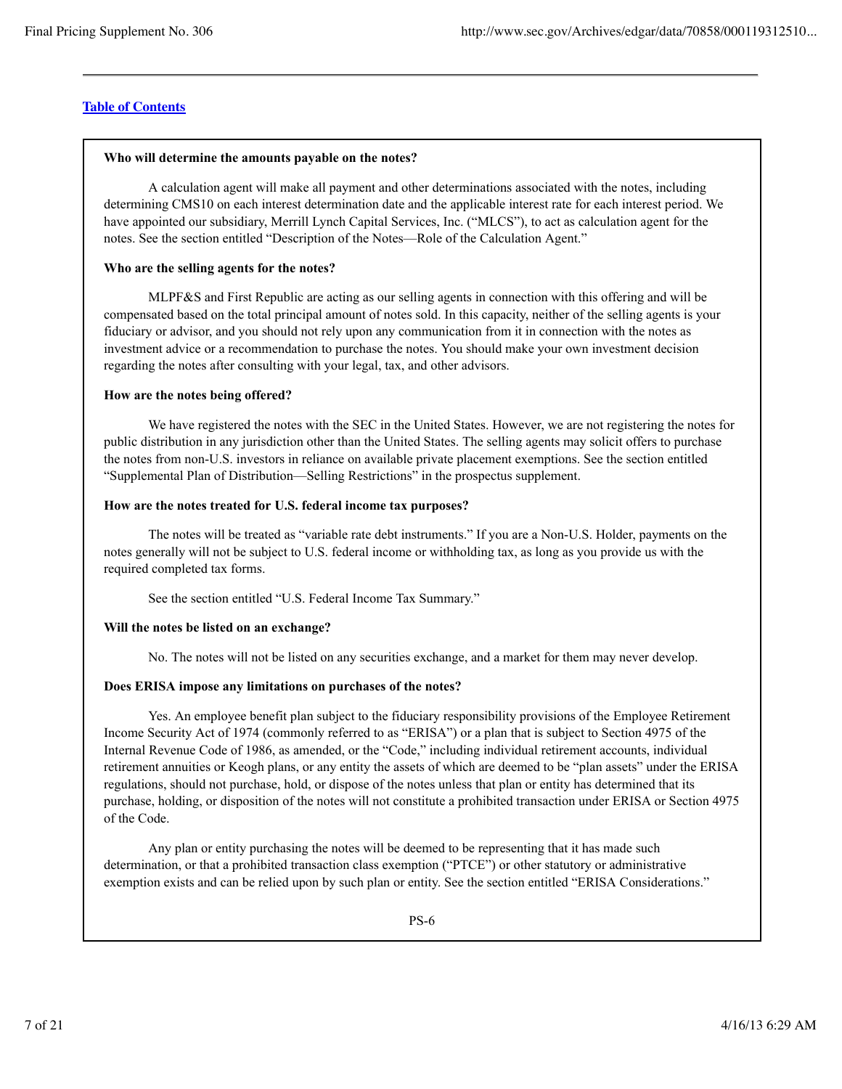#### **Who will determine the amounts payable on the notes?**

A calculation agent will make all payment and other determinations associated with the notes, including determining CMS10 on each interest determination date and the applicable interest rate for each interest period. We have appointed our subsidiary, Merrill Lynch Capital Services, Inc. ("MLCS"), to act as calculation agent for the notes. See the section entitled "Description of the Notes—Role of the Calculation Agent."

### **Who are the selling agents for the notes?**

MLPF&S and First Republic are acting as our selling agents in connection with this offering and will be compensated based on the total principal amount of notes sold. In this capacity, neither of the selling agents is your fiduciary or advisor, and you should not rely upon any communication from it in connection with the notes as investment advice or a recommendation to purchase the notes. You should make your own investment decision regarding the notes after consulting with your legal, tax, and other advisors.

#### **How are the notes being offered?**

We have registered the notes with the SEC in the United States. However, we are not registering the notes for public distribution in any jurisdiction other than the United States. The selling agents may solicit offers to purchase the notes from non-U.S. investors in reliance on available private placement exemptions. See the section entitled "Supplemental Plan of Distribution—Selling Restrictions" in the prospectus supplement.

#### **How are the notes treated for U.S. federal income tax purposes?**

The notes will be treated as "variable rate debt instruments." If you are a Non-U.S. Holder, payments on the notes generally will not be subject to U.S. federal income or withholding tax, as long as you provide us with the required completed tax forms.

See the section entitled "U.S. Federal Income Tax Summary."

### **Will the notes be listed on an exchange?**

No. The notes will not be listed on any securities exchange, and a market for them may never develop.

### **Does ERISA impose any limitations on purchases of the notes?**

Yes. An employee benefit plan subject to the fiduciary responsibility provisions of the Employee Retirement Income Security Act of 1974 (commonly referred to as "ERISA") or a plan that is subject to Section 4975 of the Internal Revenue Code of 1986, as amended, or the "Code," including individual retirement accounts, individual retirement annuities or Keogh plans, or any entity the assets of which are deemed to be "plan assets" under the ERISA regulations, should not purchase, hold, or dispose of the notes unless that plan or entity has determined that its purchase, holding, or disposition of the notes will not constitute a prohibited transaction under ERISA or Section 4975 of the Code.

Any plan or entity purchasing the notes will be deemed to be representing that it has made such determination, or that a prohibited transaction class exemption ("PTCE") or other statutory or administrative exemption exists and can be relied upon by such plan or entity. See the section entitled "ERISA Considerations."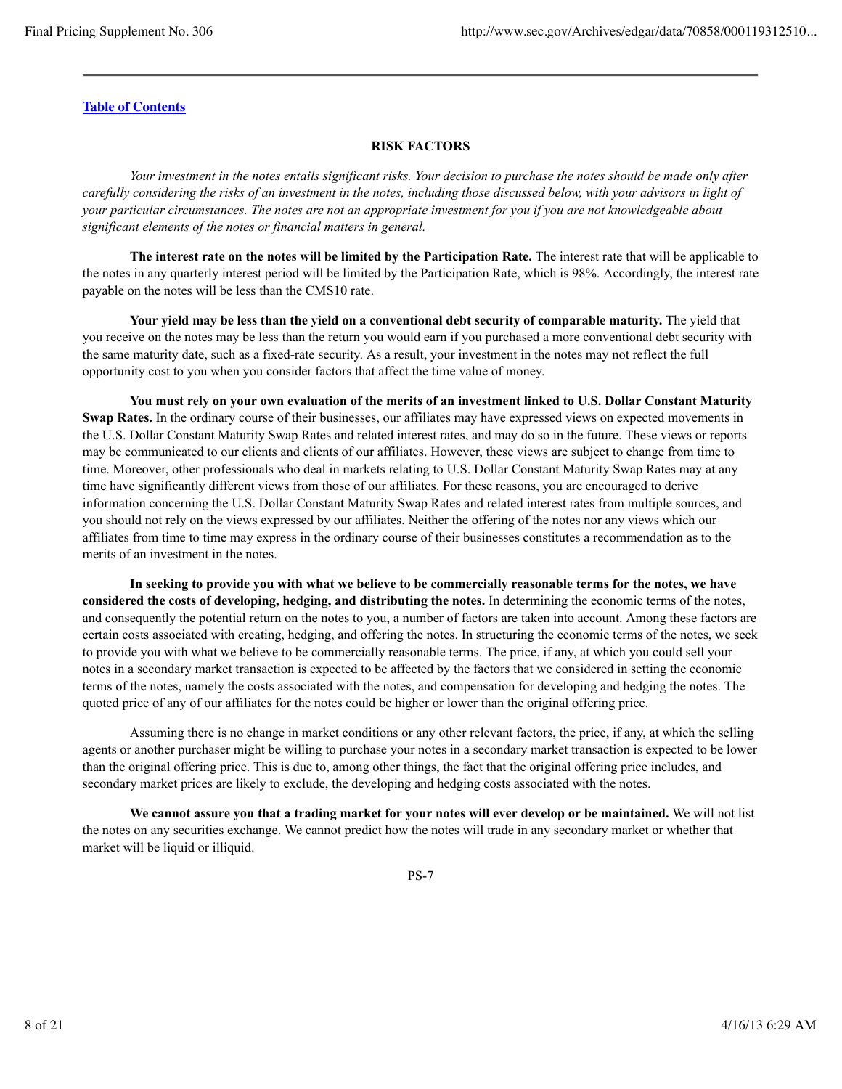### **RISK FACTORS**

*Your investment in the notes entails significant risks. Your decision to purchase the notes should be made only after carefully considering the risks of an investment in the notes, including those discussed below, with your advisors in light of your particular circumstances. The notes are not an appropriate investment for you if you are not knowledgeable about significant elements of the notes or financial matters in general.*

**The interest rate on the notes will be limited by the Participation Rate.** The interest rate that will be applicable to the notes in any quarterly interest period will be limited by the Participation Rate, which is 98%. Accordingly, the interest rate payable on the notes will be less than the CMS10 rate.

**Your yield may be less than the yield on a conventional debt security of comparable maturity.** The yield that you receive on the notes may be less than the return you would earn if you purchased a more conventional debt security with the same maturity date, such as a fixed-rate security. As a result, your investment in the notes may not reflect the full opportunity cost to you when you consider factors that affect the time value of money.

**You must rely on your own evaluation of the merits of an investment linked to U.S. Dollar Constant Maturity Swap Rates.** In the ordinary course of their businesses, our affiliates may have expressed views on expected movements in the U.S. Dollar Constant Maturity Swap Rates and related interest rates, and may do so in the future. These views or reports may be communicated to our clients and clients of our affiliates. However, these views are subject to change from time to time. Moreover, other professionals who deal in markets relating to U.S. Dollar Constant Maturity Swap Rates may at any time have significantly different views from those of our affiliates. For these reasons, you are encouraged to derive information concerning the U.S. Dollar Constant Maturity Swap Rates and related interest rates from multiple sources, and you should not rely on the views expressed by our affiliates. Neither the offering of the notes nor any views which our affiliates from time to time may express in the ordinary course of their businesses constitutes a recommendation as to the merits of an investment in the notes.

**In seeking to provide you with what we believe to be commercially reasonable terms for the notes, we have considered the costs of developing, hedging, and distributing the notes.** In determining the economic terms of the notes, and consequently the potential return on the notes to you, a number of factors are taken into account. Among these factors are certain costs associated with creating, hedging, and offering the notes. In structuring the economic terms of the notes, we seek to provide you with what we believe to be commercially reasonable terms. The price, if any, at which you could sell your notes in a secondary market transaction is expected to be affected by the factors that we considered in setting the economic terms of the notes, namely the costs associated with the notes, and compensation for developing and hedging the notes. The quoted price of any of our affiliates for the notes could be higher or lower than the original offering price.

Assuming there is no change in market conditions or any other relevant factors, the price, if any, at which the selling agents or another purchaser might be willing to purchase your notes in a secondary market transaction is expected to be lower than the original offering price. This is due to, among other things, the fact that the original offering price includes, and secondary market prices are likely to exclude, the developing and hedging costs associated with the notes.

**We cannot assure you that a trading market for your notes will ever develop or be maintained.** We will not list the notes on any securities exchange. We cannot predict how the notes will trade in any secondary market or whether that market will be liquid or illiquid.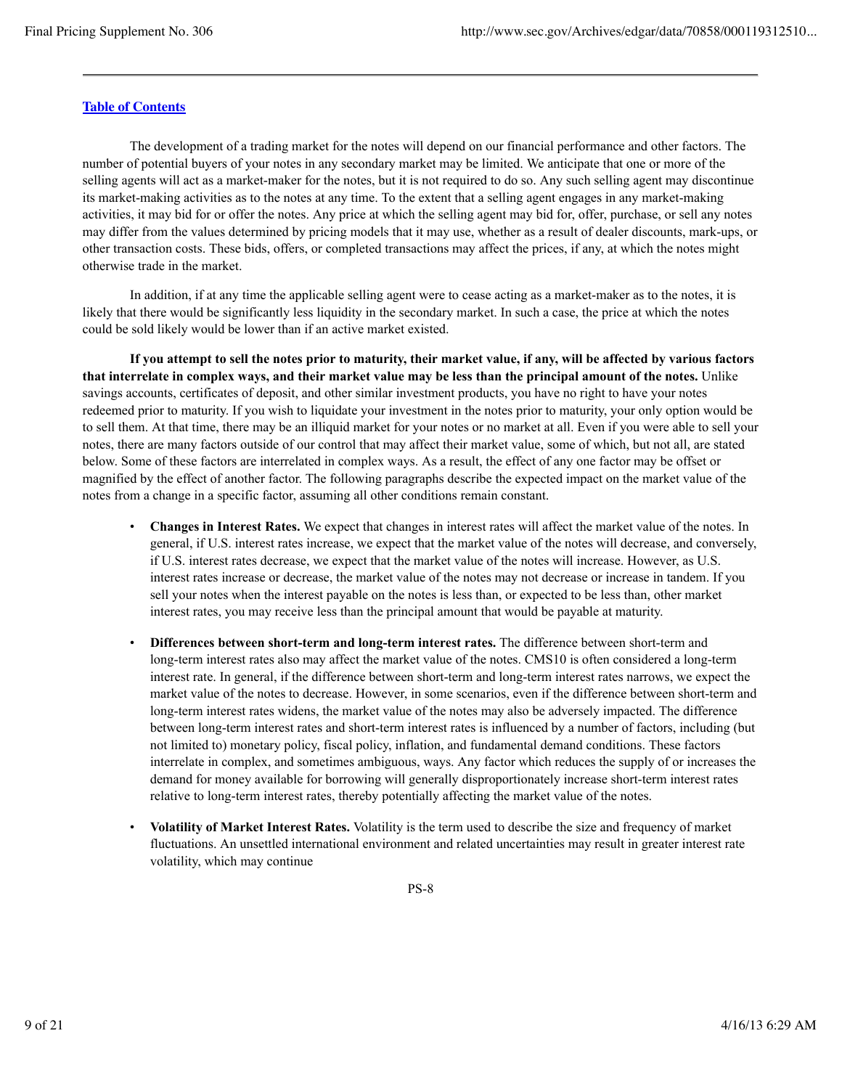The development of a trading market for the notes will depend on our financial performance and other factors. The number of potential buyers of your notes in any secondary market may be limited. We anticipate that one or more of the selling agents will act as a market-maker for the notes, but it is not required to do so. Any such selling agent may discontinue its market-making activities as to the notes at any time. To the extent that a selling agent engages in any market-making activities, it may bid for or offer the notes. Any price at which the selling agent may bid for, offer, purchase, or sell any notes may differ from the values determined by pricing models that it may use, whether as a result of dealer discounts, mark-ups, or other transaction costs. These bids, offers, or completed transactions may affect the prices, if any, at which the notes might otherwise trade in the market.

In addition, if at any time the applicable selling agent were to cease acting as a market-maker as to the notes, it is likely that there would be significantly less liquidity in the secondary market. In such a case, the price at which the notes could be sold likely would be lower than if an active market existed.

**If you attempt to sell the notes prior to maturity, their market value, if any, will be affected by various factors that interrelate in complex ways, and their market value may be less than the principal amount of the notes.** Unlike savings accounts, certificates of deposit, and other similar investment products, you have no right to have your notes redeemed prior to maturity. If you wish to liquidate your investment in the notes prior to maturity, your only option would be to sell them. At that time, there may be an illiquid market for your notes or no market at all. Even if you were able to sell your notes, there are many factors outside of our control that may affect their market value, some of which, but not all, are stated below. Some of these factors are interrelated in complex ways. As a result, the effect of any one factor may be offset or magnified by the effect of another factor. The following paragraphs describe the expected impact on the market value of the notes from a change in a specific factor, assuming all other conditions remain constant.

- **Changes in Interest Rates.** We expect that changes in interest rates will affect the market value of the notes. In general, if U.S. interest rates increase, we expect that the market value of the notes will decrease, and conversely, if U.S. interest rates decrease, we expect that the market value of the notes will increase. However, as U.S. interest rates increase or decrease, the market value of the notes may not decrease or increase in tandem. If you sell your notes when the interest payable on the notes is less than, or expected to be less than, other market interest rates, you may receive less than the principal amount that would be payable at maturity.
- **Differences between short-term and long-term interest rates.** The difference between short-term and long-term interest rates also may affect the market value of the notes. CMS10 is often considered a long-term interest rate. In general, if the difference between short-term and long-term interest rates narrows, we expect the market value of the notes to decrease. However, in some scenarios, even if the difference between short-term and long-term interest rates widens, the market value of the notes may also be adversely impacted. The difference between long-term interest rates and short-term interest rates is influenced by a number of factors, including (but not limited to) monetary policy, fiscal policy, inflation, and fundamental demand conditions. These factors interrelate in complex, and sometimes ambiguous, ways. Any factor which reduces the supply of or increases the demand for money available for borrowing will generally disproportionately increase short-term interest rates relative to long-term interest rates, thereby potentially affecting the market value of the notes.
- **Volatility of Market Interest Rates.** Volatility is the term used to describe the size and frequency of market fluctuations. An unsettled international environment and related uncertainties may result in greater interest rate volatility, which may continue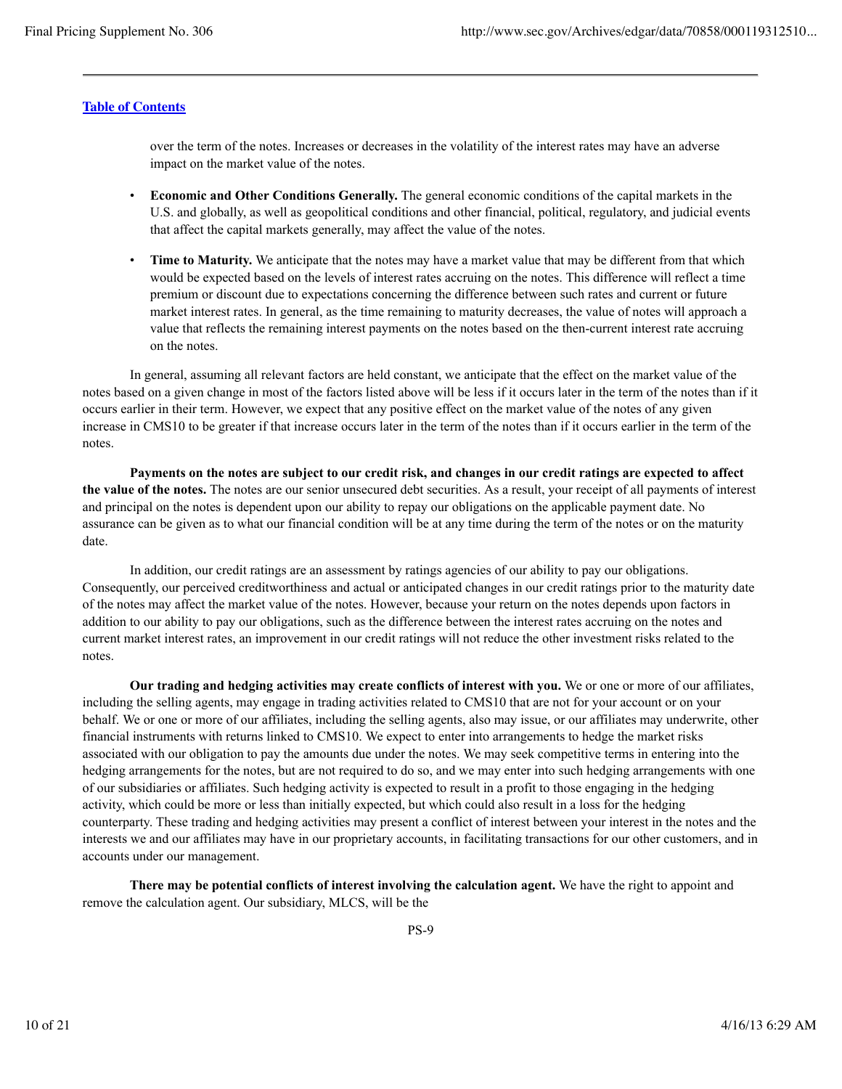over the term of the notes. Increases or decreases in the volatility of the interest rates may have an adverse impact on the market value of the notes.

- **Economic and Other Conditions Generally.** The general economic conditions of the capital markets in the U.S. and globally, as well as geopolitical conditions and other financial, political, regulatory, and judicial events that affect the capital markets generally, may affect the value of the notes.
- **Time to Maturity.** We anticipate that the notes may have a market value that may be different from that which would be expected based on the levels of interest rates accruing on the notes. This difference will reflect a time premium or discount due to expectations concerning the difference between such rates and current or future market interest rates. In general, as the time remaining to maturity decreases, the value of notes will approach a value that reflects the remaining interest payments on the notes based on the then-current interest rate accruing on the notes.

In general, assuming all relevant factors are held constant, we anticipate that the effect on the market value of the notes based on a given change in most of the factors listed above will be less if it occurs later in the term of the notes than if it occurs earlier in their term. However, we expect that any positive effect on the market value of the notes of any given increase in CMS10 to be greater if that increase occurs later in the term of the notes than if it occurs earlier in the term of the notes.

**Payments on the notes are subject to our credit risk, and changes in our credit ratings are expected to affect the value of the notes.** The notes are our senior unsecured debt securities. As a result, your receipt of all payments of interest and principal on the notes is dependent upon our ability to repay our obligations on the applicable payment date. No assurance can be given as to what our financial condition will be at any time during the term of the notes or on the maturity date.

In addition, our credit ratings are an assessment by ratings agencies of our ability to pay our obligations. Consequently, our perceived creditworthiness and actual or anticipated changes in our credit ratings prior to the maturity date of the notes may affect the market value of the notes. However, because your return on the notes depends upon factors in addition to our ability to pay our obligations, such as the difference between the interest rates accruing on the notes and current market interest rates, an improvement in our credit ratings will not reduce the other investment risks related to the notes.

**Our trading and hedging activities may create conflicts of interest with you.** We or one or more of our affiliates, including the selling agents, may engage in trading activities related to CMS10 that are not for your account or on your behalf. We or one or more of our affiliates, including the selling agents, also may issue, or our affiliates may underwrite, other financial instruments with returns linked to CMS10. We expect to enter into arrangements to hedge the market risks associated with our obligation to pay the amounts due under the notes. We may seek competitive terms in entering into the hedging arrangements for the notes, but are not required to do so, and we may enter into such hedging arrangements with one of our subsidiaries or affiliates. Such hedging activity is expected to result in a profit to those engaging in the hedging activity, which could be more or less than initially expected, but which could also result in a loss for the hedging counterparty. These trading and hedging activities may present a conflict of interest between your interest in the notes and the interests we and our affiliates may have in our proprietary accounts, in facilitating transactions for our other customers, and in accounts under our management.

**There may be potential conflicts of interest involving the calculation agent.** We have the right to appoint and remove the calculation agent. Our subsidiary, MLCS, will be the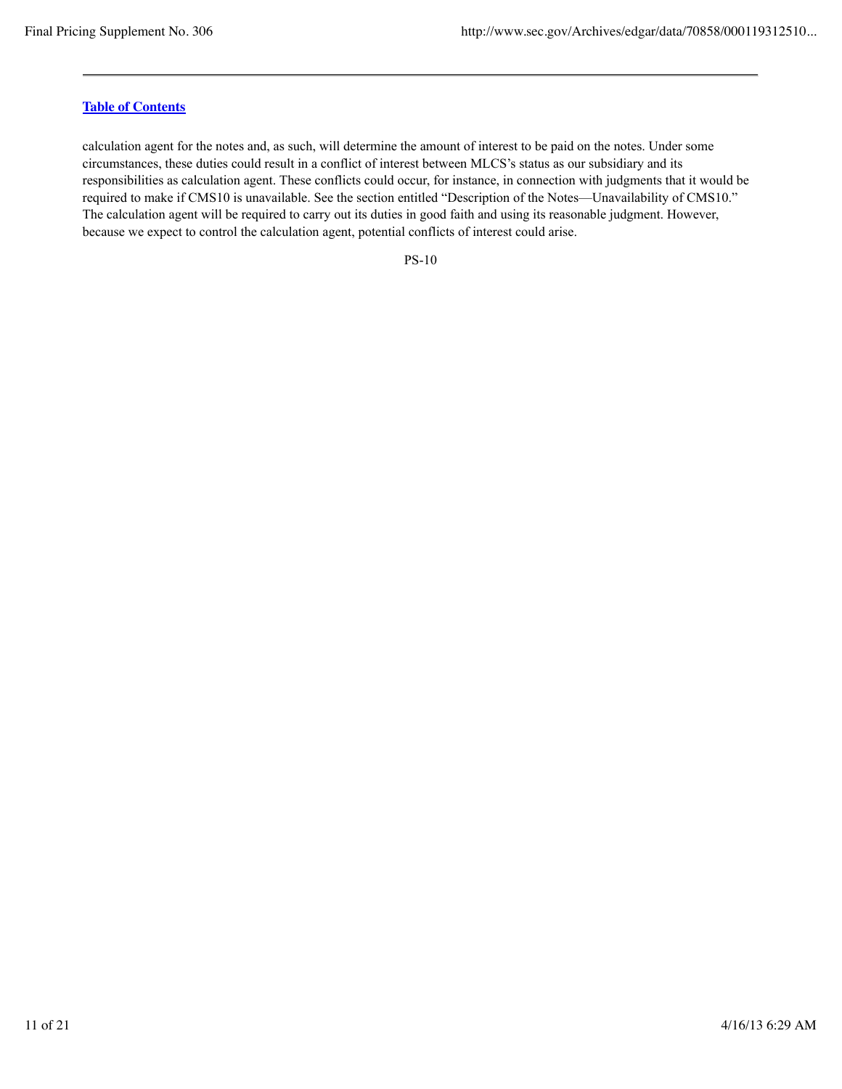calculation agent for the notes and, as such, will determine the amount of interest to be paid on the notes. Under some circumstances, these duties could result in a conflict of interest between MLCS's status as our subsidiary and its responsibilities as calculation agent. These conflicts could occur, for instance, in connection with judgments that it would be required to make if CMS10 is unavailable. See the section entitled "Description of the Notes—Unavailability of CMS10." The calculation agent will be required to carry out its duties in good faith and using its reasonable judgment. However, because we expect to control the calculation agent, potential conflicts of interest could arise.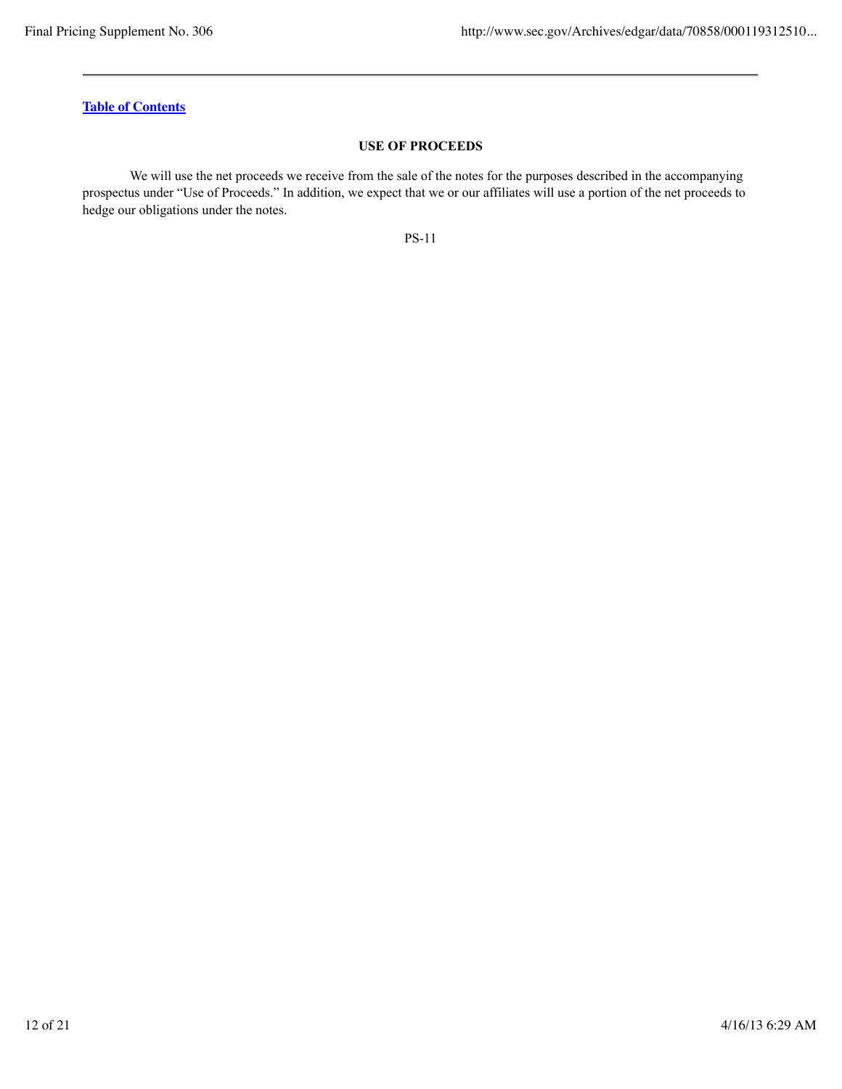### **USE OF PROCEEDS**

We will use the net proceeds we receive from the sale of the notes for the purposes described in the accompanying prospectus under "Use of Proceeds." In addition, we expect that we or our affiliates will use a portion of the net proceeds to hedge our obligations under the notes.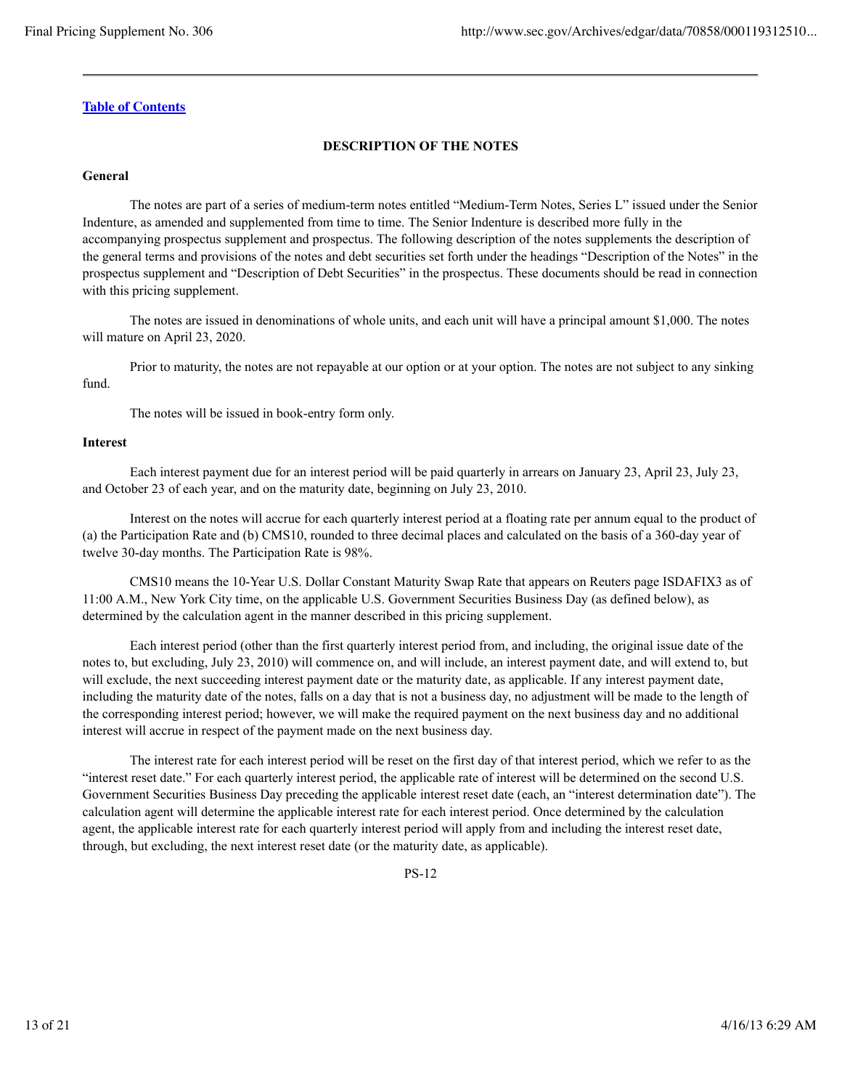### **DESCRIPTION OF THE NOTES**

### **General**

The notes are part of a series of medium-term notes entitled "Medium-Term Notes, Series L" issued under the Senior Indenture, as amended and supplemented from time to time. The Senior Indenture is described more fully in the accompanying prospectus supplement and prospectus. The following description of the notes supplements the description of the general terms and provisions of the notes and debt securities set forth under the headings "Description of the Notes" in the prospectus supplement and "Description of Debt Securities" in the prospectus. These documents should be read in connection with this pricing supplement.

The notes are issued in denominations of whole units, and each unit will have a principal amount \$1,000. The notes will mature on April 23, 2020.

Prior to maturity, the notes are not repayable at our option or at your option. The notes are not subject to any sinking fund.

The notes will be issued in book-entry form only.

#### **Interest**

Each interest payment due for an interest period will be paid quarterly in arrears on January 23, April 23, July 23, and October 23 of each year, and on the maturity date, beginning on July 23, 2010.

Interest on the notes will accrue for each quarterly interest period at a floating rate per annum equal to the product of (a) the Participation Rate and (b) CMS10, rounded to three decimal places and calculated on the basis of a 360-day year of twelve 30-day months. The Participation Rate is 98%.

CMS10 means the 10-Year U.S. Dollar Constant Maturity Swap Rate that appears on Reuters page ISDAFIX3 as of 11:00 A.M., New York City time, on the applicable U.S. Government Securities Business Day (as defined below), as determined by the calculation agent in the manner described in this pricing supplement.

Each interest period (other than the first quarterly interest period from, and including, the original issue date of the notes to, but excluding, July 23, 2010) will commence on, and will include, an interest payment date, and will extend to, but will exclude, the next succeeding interest payment date or the maturity date, as applicable. If any interest payment date, including the maturity date of the notes, falls on a day that is not a business day, no adjustment will be made to the length of the corresponding interest period; however, we will make the required payment on the next business day and no additional interest will accrue in respect of the payment made on the next business day.

The interest rate for each interest period will be reset on the first day of that interest period, which we refer to as the "interest reset date." For each quarterly interest period, the applicable rate of interest will be determined on the second U.S. Government Securities Business Day preceding the applicable interest reset date (each, an "interest determination date"). The calculation agent will determine the applicable interest rate for each interest period. Once determined by the calculation agent, the applicable interest rate for each quarterly interest period will apply from and including the interest reset date, through, but excluding, the next interest reset date (or the maturity date, as applicable).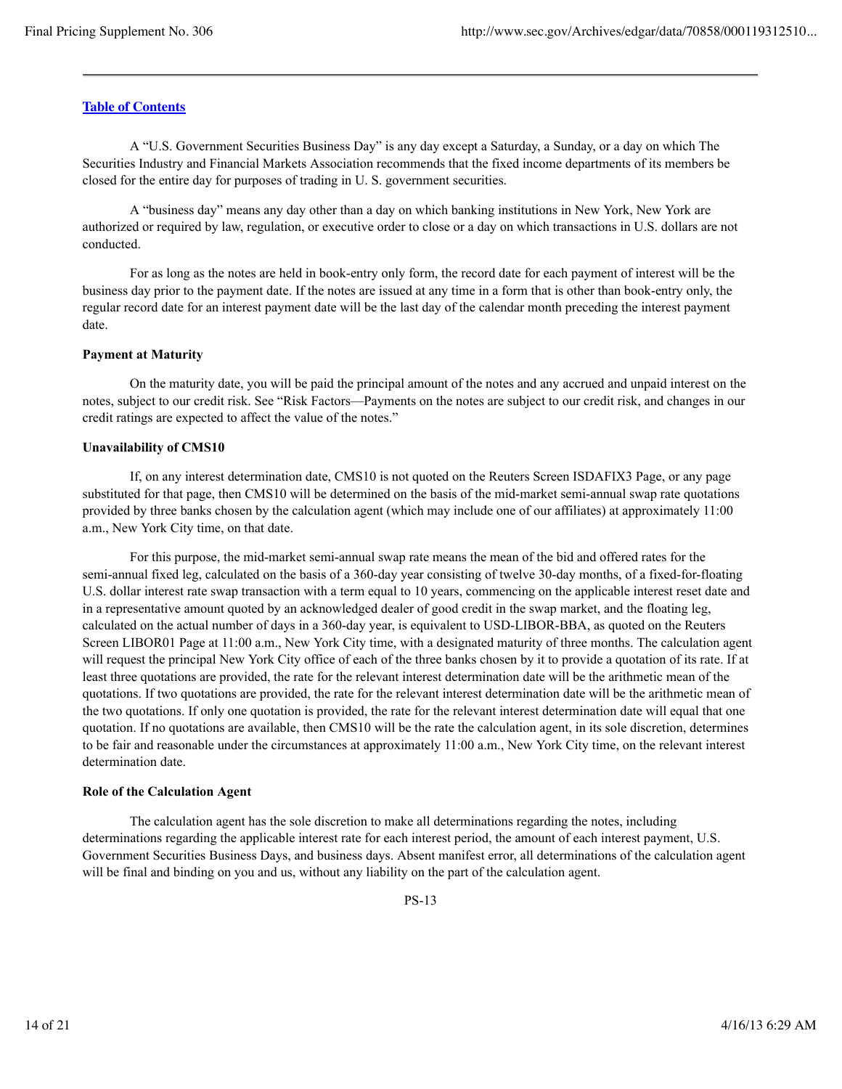A "U.S. Government Securities Business Day" is any day except a Saturday, a Sunday, or a day on which The Securities Industry and Financial Markets Association recommends that the fixed income departments of its members be closed for the entire day for purposes of trading in U. S. government securities.

A "business day" means any day other than a day on which banking institutions in New York, New York are authorized or required by law, regulation, or executive order to close or a day on which transactions in U.S. dollars are not conducted.

For as long as the notes are held in book-entry only form, the record date for each payment of interest will be the business day prior to the payment date. If the notes are issued at any time in a form that is other than book-entry only, the regular record date for an interest payment date will be the last day of the calendar month preceding the interest payment date.

#### **Payment at Maturity**

On the maturity date, you will be paid the principal amount of the notes and any accrued and unpaid interest on the notes, subject to our credit risk. See "Risk Factors—Payments on the notes are subject to our credit risk, and changes in our credit ratings are expected to affect the value of the notes."

### **Unavailability of CMS10**

If, on any interest determination date, CMS10 is not quoted on the Reuters Screen ISDAFIX3 Page, or any page substituted for that page, then CMS10 will be determined on the basis of the mid-market semi-annual swap rate quotations provided by three banks chosen by the calculation agent (which may include one of our affiliates) at approximately 11:00 a.m., New York City time, on that date.

For this purpose, the mid-market semi-annual swap rate means the mean of the bid and offered rates for the semi-annual fixed leg, calculated on the basis of a 360-day year consisting of twelve 30-day months, of a fixed-for-floating U.S. dollar interest rate swap transaction with a term equal to 10 years, commencing on the applicable interest reset date and in a representative amount quoted by an acknowledged dealer of good credit in the swap market, and the floating leg, calculated on the actual number of days in a 360-day year, is equivalent to USD-LIBOR-BBA, as quoted on the Reuters Screen LIBOR01 Page at 11:00 a.m., New York City time, with a designated maturity of three months. The calculation agent will request the principal New York City office of each of the three banks chosen by it to provide a quotation of its rate. If at least three quotations are provided, the rate for the relevant interest determination date will be the arithmetic mean of the quotations. If two quotations are provided, the rate for the relevant interest determination date will be the arithmetic mean of the two quotations. If only one quotation is provided, the rate for the relevant interest determination date will equal that one quotation. If no quotations are available, then CMS10 will be the rate the calculation agent, in its sole discretion, determines to be fair and reasonable under the circumstances at approximately 11:00 a.m., New York City time, on the relevant interest determination date.

### **Role of the Calculation Agent**

The calculation agent has the sole discretion to make all determinations regarding the notes, including determinations regarding the applicable interest rate for each interest period, the amount of each interest payment, U.S. Government Securities Business Days, and business days. Absent manifest error, all determinations of the calculation agent will be final and binding on you and us, without any liability on the part of the calculation agent.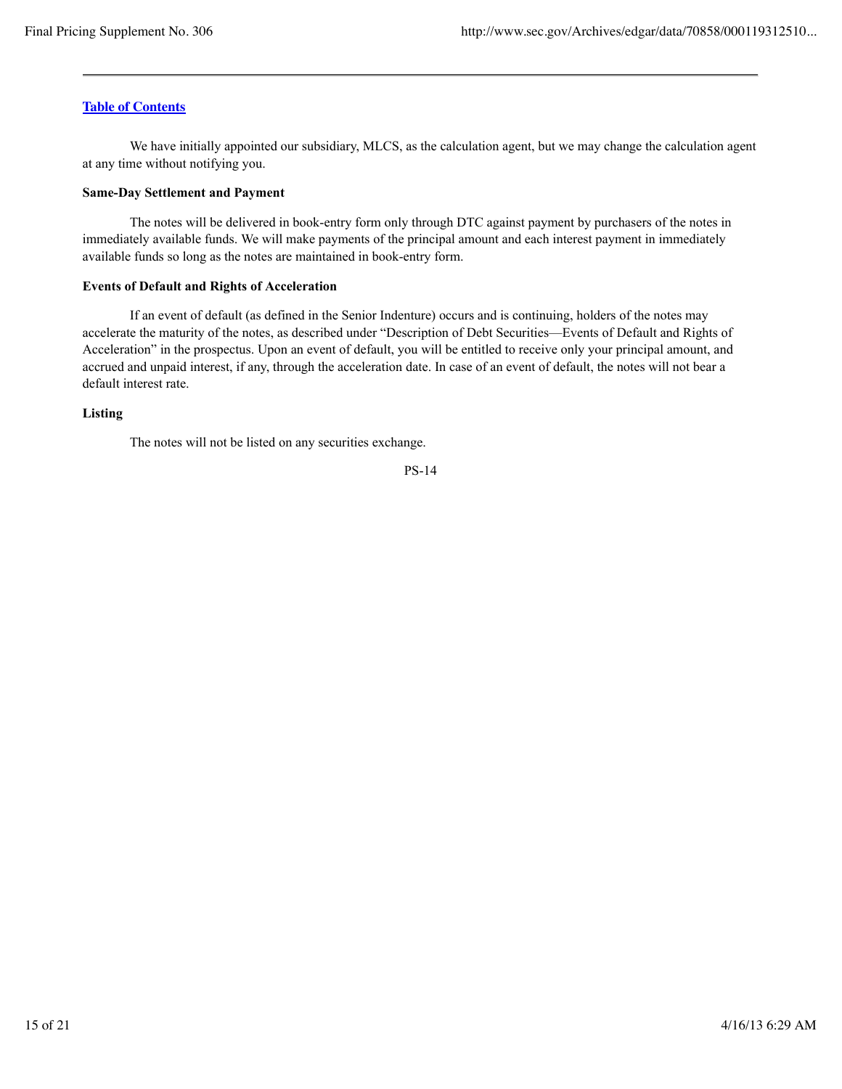We have initially appointed our subsidiary, MLCS, as the calculation agent, but we may change the calculation agent at any time without notifying you.

#### **Same-Day Settlement and Payment**

The notes will be delivered in book-entry form only through DTC against payment by purchasers of the notes in immediately available funds. We will make payments of the principal amount and each interest payment in immediately available funds so long as the notes are maintained in book-entry form.

#### **Events of Default and Rights of Acceleration**

If an event of default (as defined in the Senior Indenture) occurs and is continuing, holders of the notes may accelerate the maturity of the notes, as described under "Description of Debt Securities—Events of Default and Rights of Acceleration" in the prospectus. Upon an event of default, you will be entitled to receive only your principal amount, and accrued and unpaid interest, if any, through the acceleration date. In case of an event of default, the notes will not bear a default interest rate.

### **Listing**

The notes will not be listed on any securities exchange.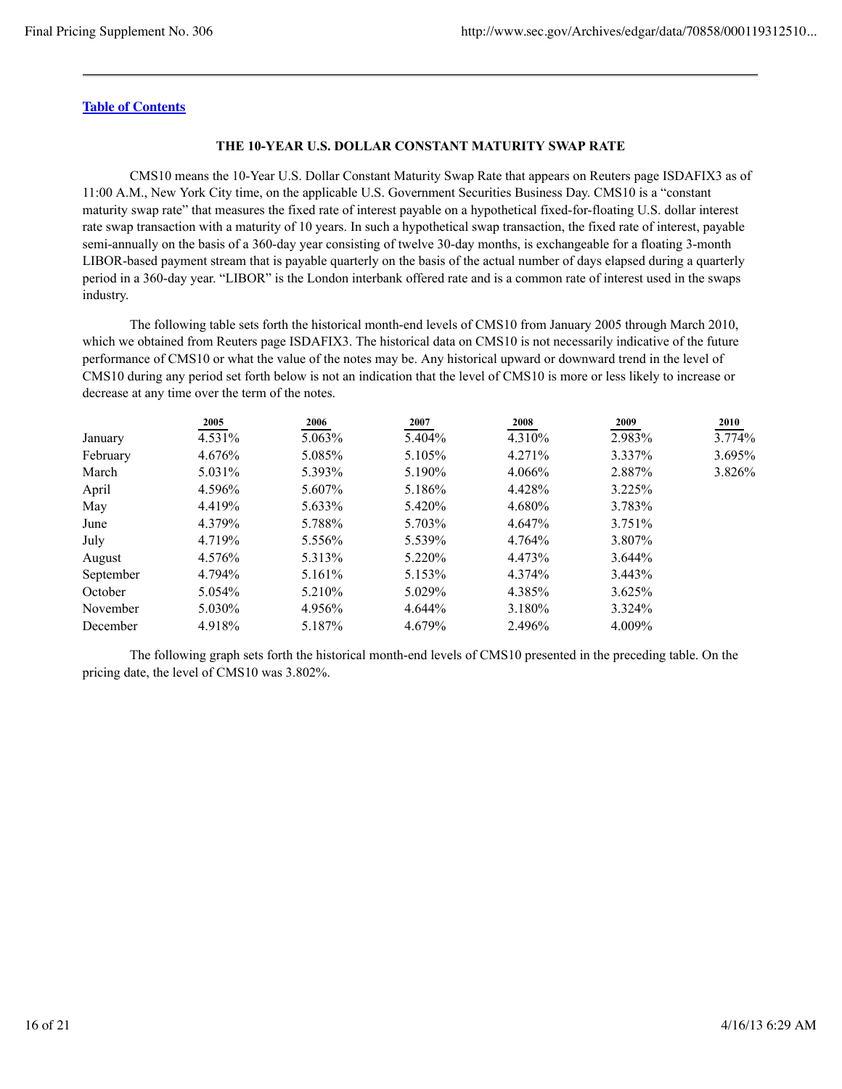### **THE 10-YEAR U.S. DOLLAR CONSTANT MATURITY SWAP RATE**

CMS10 means the 10-Year U.S. Dollar Constant Maturity Swap Rate that appears on Reuters page ISDAFIX3 as of 11:00 A.M., New York City time, on the applicable U.S. Government Securities Business Day. CMS10 is a "constant maturity swap rate" that measures the fixed rate of interest payable on a hypothetical fixed-for-floating U.S. dollar interest rate swap transaction with a maturity of 10 years. In such a hypothetical swap transaction, the fixed rate of interest, payable semi-annually on the basis of a 360-day year consisting of twelve 30-day months, is exchangeable for a floating 3-month LIBOR-based payment stream that is payable quarterly on the basis of the actual number of days elapsed during a quarterly period in a 360-day year. "LIBOR" is the London interbank offered rate and is a common rate of interest used in the swaps industry.

The following table sets forth the historical month-end levels of CMS10 from January 2005 through March 2010, which we obtained from Reuters page ISDAFIX3. The historical data on CMS10 is not necessarily indicative of the future performance of CMS10 or what the value of the notes may be. Any historical upward or downward trend in the level of CMS10 during any period set forth below is not an indication that the level of CMS10 is more or less likely to increase or decrease at any time over the term of the notes.

|           | 2005    | 2006   | 2007   | 2008   | 2009   | 2010   |
|-----------|---------|--------|--------|--------|--------|--------|
| January   | 4.531%  | 5.063% | 5.404% | 4.310% | 2.983% | 3.774% |
| February  | 4.676%  | 5.085% | 5.105% | 4.271% | 3.337% | 3.695% |
| March     | 5.031\% | 5.393% | 5.190% | 4.066% | 2.887% | 3.826% |
| April     | 4.596%  | 5.607% | 5.186% | 4.428% | 3.225% |        |
| May       | 4.419%  | 5.633% | 5.420% | 4.680% | 3.783% |        |
| June      | 4.379%  | 5.788% | 5.703% | 4.647% | 3.751% |        |
| July      | 4.719%  | 5.556% | 5.539% | 4.764% | 3.807% |        |
| August    | 4.576%  | 5.313% | 5.220% | 4.473% | 3.644% |        |
| September | 4.794%  | 5.161% | 5.153% | 4.374% | 3.443% |        |
| October   | 5.054%  | 5.210% | 5.029% | 4.385% | 3.625% |        |
| November  | 5.030%  | 4.956% | 4.644% | 3.180% | 3.324% |        |
| December  | 4.918%  | 5.187% | 4.679% | 2.496% | 4.009% |        |

The following graph sets forth the historical month-end levels of CMS10 presented in the preceding table. On the pricing date, the level of CMS10 was 3.802%.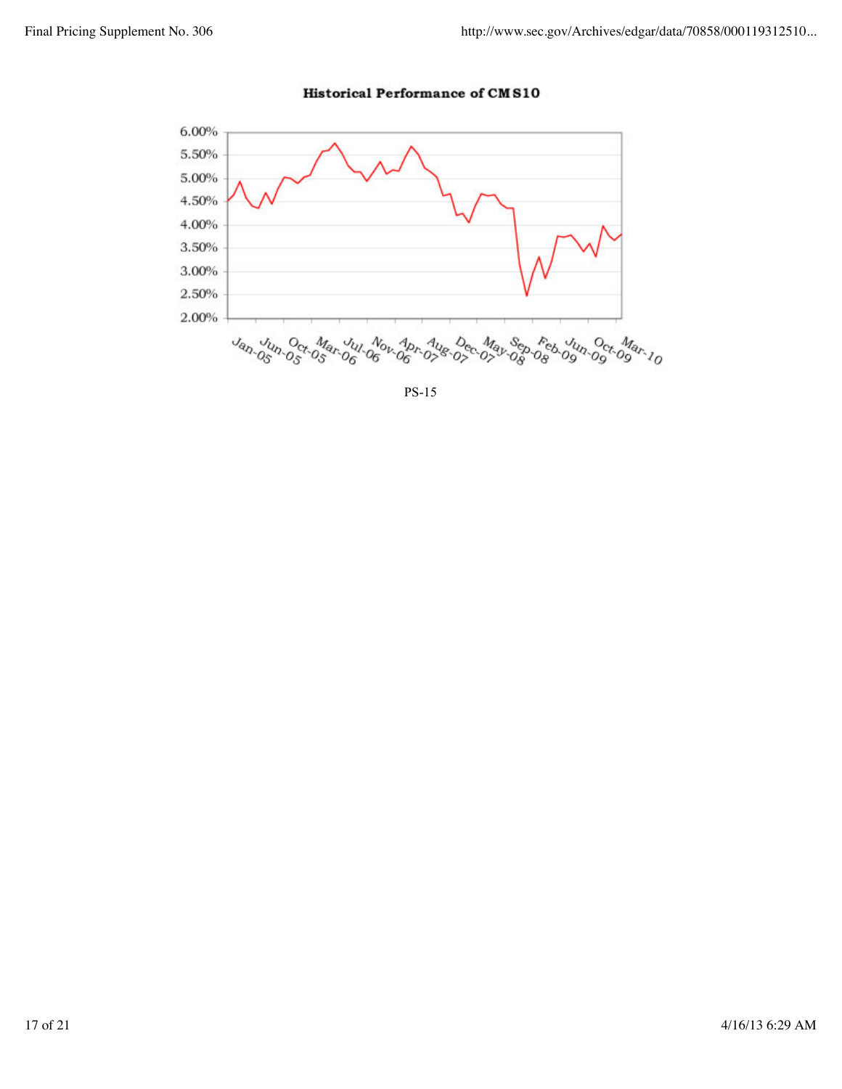

### **Historical Performance of CMS10**

PS-15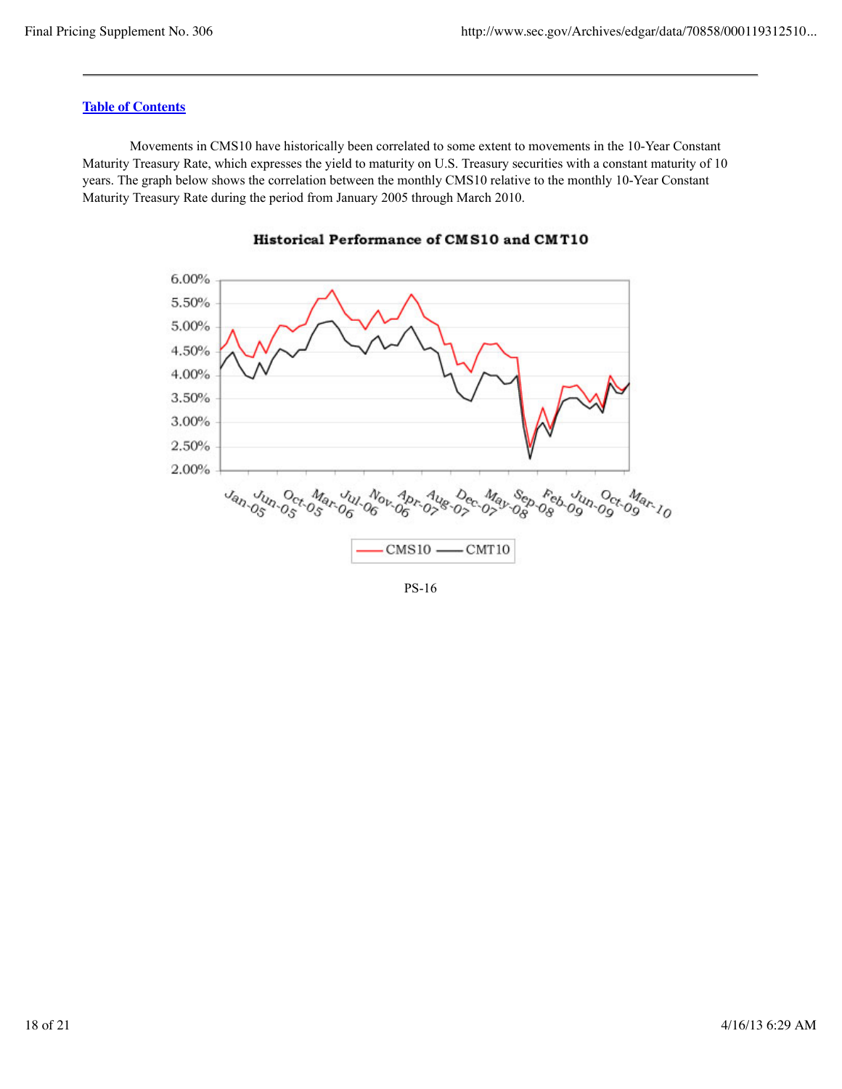Movements in CMS10 have historically been correlated to some extent to movements in the 10-Year Constant Maturity Treasury Rate, which expresses the yield to maturity on U.S. Treasury securities with a constant maturity of 10 years. The graph below shows the correlation between the monthly CMS10 relative to the monthly 10-Year Constant Maturity Treasury Rate during the period from January 2005 through March 2010.





PS-16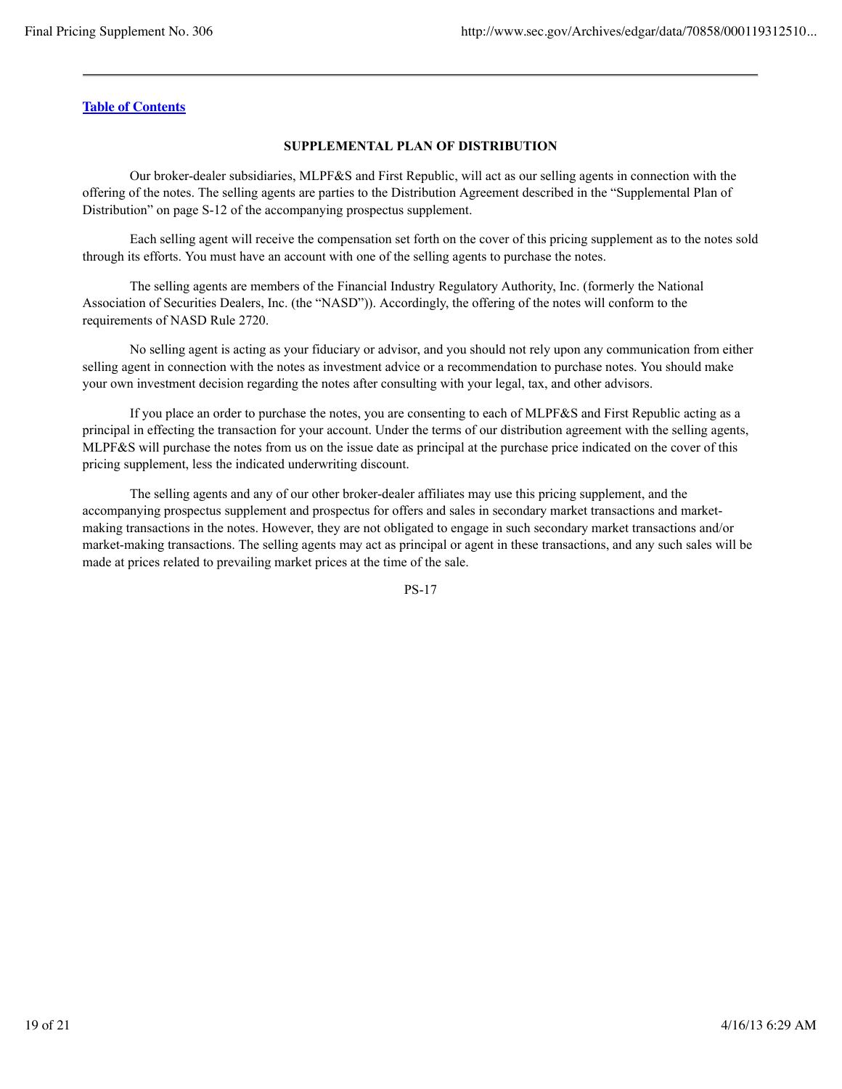### **SUPPLEMENTAL PLAN OF DISTRIBUTION**

Our broker-dealer subsidiaries, MLPF&S and First Republic, will act as our selling agents in connection with the offering of the notes. The selling agents are parties to the Distribution Agreement described in the "Supplemental Plan of Distribution" on page S-12 of the accompanying prospectus supplement.

Each selling agent will receive the compensation set forth on the cover of this pricing supplement as to the notes sold through its efforts. You must have an account with one of the selling agents to purchase the notes.

The selling agents are members of the Financial Industry Regulatory Authority, Inc. (formerly the National Association of Securities Dealers, Inc. (the "NASD")). Accordingly, the offering of the notes will conform to the requirements of NASD Rule 2720.

No selling agent is acting as your fiduciary or advisor, and you should not rely upon any communication from either selling agent in connection with the notes as investment advice or a recommendation to purchase notes. You should make your own investment decision regarding the notes after consulting with your legal, tax, and other advisors.

If you place an order to purchase the notes, you are consenting to each of MLPF&S and First Republic acting as a principal in effecting the transaction for your account. Under the terms of our distribution agreement with the selling agents, MLPF&S will purchase the notes from us on the issue date as principal at the purchase price indicated on the cover of this pricing supplement, less the indicated underwriting discount.

The selling agents and any of our other broker-dealer affiliates may use this pricing supplement, and the accompanying prospectus supplement and prospectus for offers and sales in secondary market transactions and marketmaking transactions in the notes. However, they are not obligated to engage in such secondary market transactions and/or market-making transactions. The selling agents may act as principal or agent in these transactions, and any such sales will be made at prices related to prevailing market prices at the time of the sale.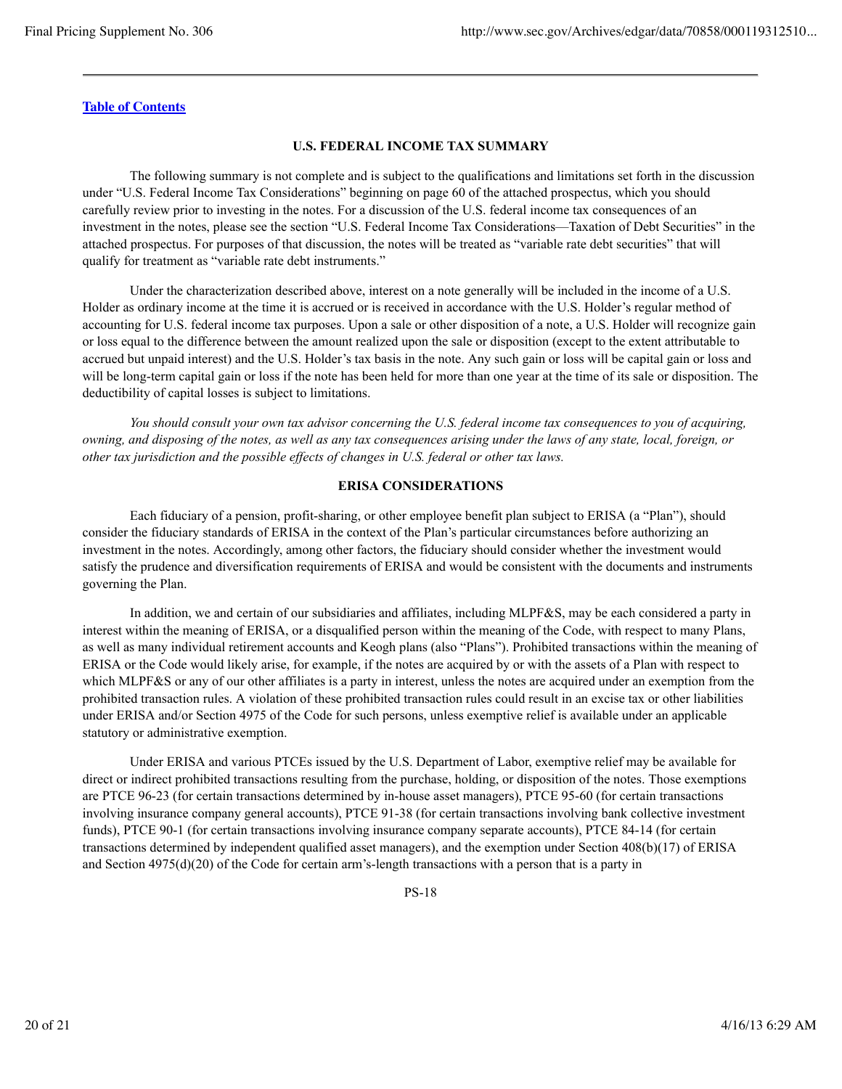#### **U.S. FEDERAL INCOME TAX SUMMARY**

The following summary is not complete and is subject to the qualifications and limitations set forth in the discussion under "U.S. Federal Income Tax Considerations" beginning on page 60 of the attached prospectus, which you should carefully review prior to investing in the notes. For a discussion of the U.S. federal income tax consequences of an investment in the notes, please see the section "U.S. Federal Income Tax Considerations—Taxation of Debt Securities" in the attached prospectus. For purposes of that discussion, the notes will be treated as "variable rate debt securities" that will qualify for treatment as "variable rate debt instruments."

Under the characterization described above, interest on a note generally will be included in the income of a U.S. Holder as ordinary income at the time it is accrued or is received in accordance with the U.S. Holder's regular method of accounting for U.S. federal income tax purposes. Upon a sale or other disposition of a note, a U.S. Holder will recognize gain or loss equal to the difference between the amount realized upon the sale or disposition (except to the extent attributable to accrued but unpaid interest) and the U.S. Holder's tax basis in the note. Any such gain or loss will be capital gain or loss and will be long-term capital gain or loss if the note has been held for more than one year at the time of its sale or disposition. The deductibility of capital losses is subject to limitations.

*You should consult your own tax advisor concerning the U.S. federal income tax consequences to you of acquiring, owning, and disposing of the notes, as well as any tax consequences arising under the laws of any state, local, foreign, or other tax jurisdiction and the possible effects of changes in U.S. federal or other tax laws.*

#### **ERISA CONSIDERATIONS**

Each fiduciary of a pension, profit-sharing, or other employee benefit plan subject to ERISA (a "Plan"), should consider the fiduciary standards of ERISA in the context of the Plan's particular circumstances before authorizing an investment in the notes. Accordingly, among other factors, the fiduciary should consider whether the investment would satisfy the prudence and diversification requirements of ERISA and would be consistent with the documents and instruments governing the Plan.

In addition, we and certain of our subsidiaries and affiliates, including MLPF&S, may be each considered a party in interest within the meaning of ERISA, or a disqualified person within the meaning of the Code, with respect to many Plans, as well as many individual retirement accounts and Keogh plans (also "Plans"). Prohibited transactions within the meaning of ERISA or the Code would likely arise, for example, if the notes are acquired by or with the assets of a Plan with respect to which MLPF&S or any of our other affiliates is a party in interest, unless the notes are acquired under an exemption from the prohibited transaction rules. A violation of these prohibited transaction rules could result in an excise tax or other liabilities under ERISA and/or Section 4975 of the Code for such persons, unless exemptive relief is available under an applicable statutory or administrative exemption.

Under ERISA and various PTCEs issued by the U.S. Department of Labor, exemptive relief may be available for direct or indirect prohibited transactions resulting from the purchase, holding, or disposition of the notes. Those exemptions are PTCE 96-23 (for certain transactions determined by in-house asset managers), PTCE 95-60 (for certain transactions involving insurance company general accounts), PTCE 91-38 (for certain transactions involving bank collective investment funds), PTCE 90-1 (for certain transactions involving insurance company separate accounts), PTCE 84-14 (for certain transactions determined by independent qualified asset managers), and the exemption under Section 408(b)(17) of ERISA and Section 4975(d)(20) of the Code for certain arm's-length transactions with a person that is a party in